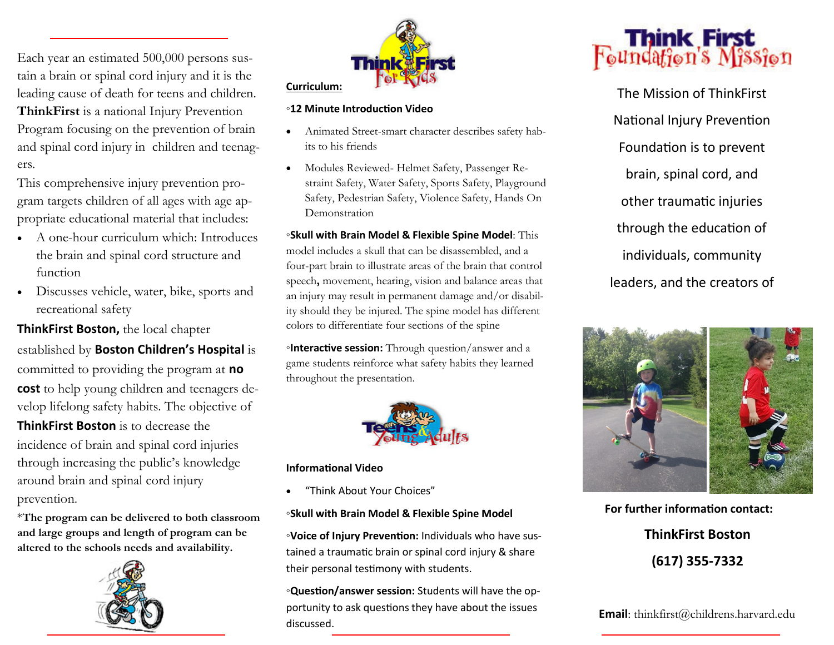Each year an estimated 500,000 persons sustain a brain or spinal cord injury and it is the leading cause of death for teens and children. **ThinkFirst** is a national Injury Prevention Program focusing on the prevention of brain and spinal cord injury in children and teenagers.

This comprehensive injury prevention program targets children of all ages with age appropriate educational material that includes:

- A one-hour curriculum which: Introduces the brain and spinal cord structure and function
- Discusses vehicle, water, bike, sports and recreational safety

**ThinkFirst Boston,** the local chapter established by **Boston Children's Hospital** is committed to providing the program at **no cost** to help young children and teenagers develop lifelong safety habits. The objective of **ThinkFirst Boston** is to decrease the incidence of brain and spinal cord injuries

through increasing the public's knowledge around brain and spinal cord injury prevention.

\***The program can be delivered to both classroom and large groups and length of program can be altered to the schools needs and availability.** 





#### **◦12 Minute Introduction Video**

- Animated Street-smart character describes safety habits to his friends
- Modules Reviewed- Helmet Safety, Passenger Restraint Safety, Water Safety, Sports Safety, Playground Safety, Pedestrian Safety, Violence Safety, Hands On Demonstration

**◦Skull with Brain Model & Flexible Spine Model**: This model includes a skull that can be disassembled, and a four-part brain to illustrate areas of the brain that control speech**,** movement, hearing, vision and balance areas that an injury may result in permanent damage and/or disability should they be injured. The spine model has different colors to differentiate four sections of the spine

**◦Interactive session:** Through question/answer and a game students reinforce what safety habits they learned throughout the presentation.



## **Informational Video**

"Think About Your Choices"

## **◦Skull with Brain Model & Flexible Spine Model**

**◦Voice of Injury Prevention:** Individuals who have sustained a traumatic brain or spinal cord injury & share their personal testimony with students.

**◦Question/answer session:** Students will have the opportunity to ask questions they have about the issues discussed.



The Mission of ThinkFirst National Injury Prevention Foundation is to prevent brain, spinal cord, and other traumatic injuries through the education of individuals, community leaders, and the creators of



**For further information contact: ThinkFirst Boston (617) 355-7332**

**Email**: thinkfirst@childrens.harvard.edu